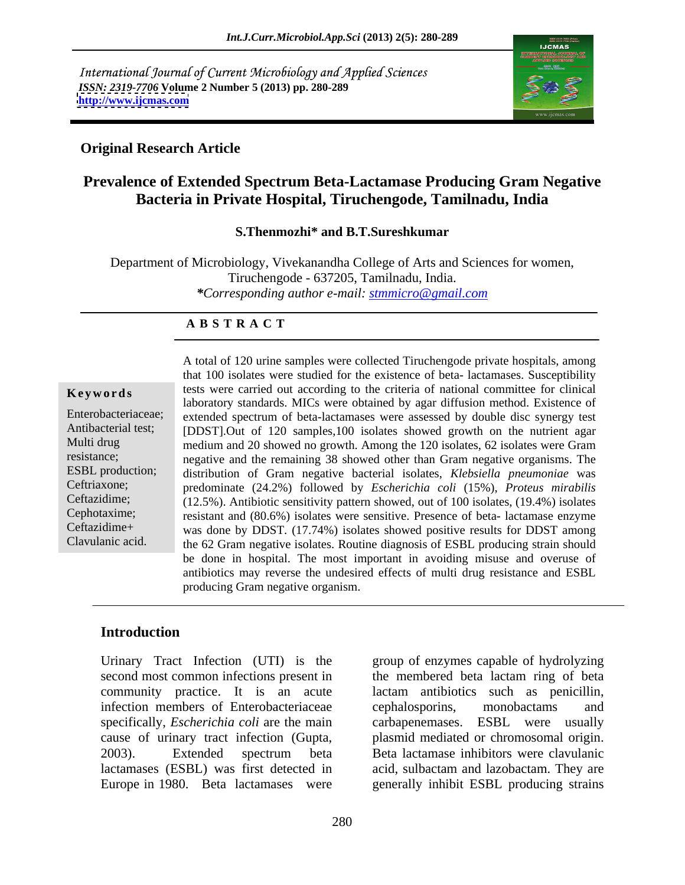International Journal of Current Microbiology and Applied Sciences *ISSN: 2319-7706* **Volume 2 Number 5 (2013) pp. 280-289 <http://www.ijcmas.com>**



### **Original Research Article**

## **Prevalence of Extended Spectrum Beta-Lactamase Producing Gram Negative Bacteria in Private Hospital, Tiruchengode, Tamilnadu, India**

### **S.Thenmozhi\* and B.T.Sureshkumar**

Department of Microbiology, Vivekanandha College of Arts and Sciences for women, Tiruchengode - 637205, Tamilnadu, India. *\*Corresponding author e-mail: stmmicro@gmail.com*

### **A B S T R A C T**

a Ceftriaxone; predominate (24.2%) followed by *Escherichia coli* (15%), *Proteus mirabilis* **Keywords** tests were carried out according to the criteria of national committee for clinical Enterobacteriaceae; extended spectrum of beta-lactamases were assessed by double disc synergy test Antibacterial test; [DDST].Out of 120 samples,100 isolates showed growth on the nutrient agar Multi drug medium and 20 showed no growth. Among the 120 isolates, 62 isolates were Gram resistance; negative and the remaining 38 showed other than Gram negative organisms. The ESBL production; distribution of Gram negative bacterial isolates, *Klebsiella pneumoniae* was Ceftazidime; (12.5%). Antibiotic sensitivity pattern showed, out of 100 isolates, (19.4%) isolates Cephotaxime; resistant and (80.6%) isolates were sensitive. Presence of beta- lactamase enzyme Ceftazidime+ was done by DDST. (17.74%) isolates showed positive results for DDST among Clavulanic acid. the 62 Gram negative isolates. Routine diagnosis of ESBL producing strain should A total of 120 urine samples were collected Tiruchengode private hospitals, among that 100 isolates were studied for the existence of beta- lactamases. Susceptibility laboratory standards. MICs were obtained by agar diffusion method. Existence of be done in hospital. The most important in avoiding misuse and overuse of antibiotics may reverse the undesired effects of multi drug resistance and ESBL producing Gram negative organism.

### **Introduction**

Urinary Tract Infection (UTI) is the infection members of Enterobacteriaceae cephalosporins, monobactams and cause of urinary tract infection (Gupta,

second most common infections present in the membered beta lactam ring of beta community practice. It is an acute lactam antibiotics such as penicillin, specifically, *Escherichia coli* are the main carbapenemases. ESBL were usually 2003). Extended spectrum beta Beta lactamase inhibitors were clavulanic lactamases (ESBL) was first detected in acid, sulbactam and lazobactam. They are Europe in 1980. Beta lactamases were generally inhibit ESBL producing strains group of enzymes capable of hydrolyzing cephalosporins, monobactams and plasmid mediated or chromosomal origin. Beta lactamase inhibitors were clavulanic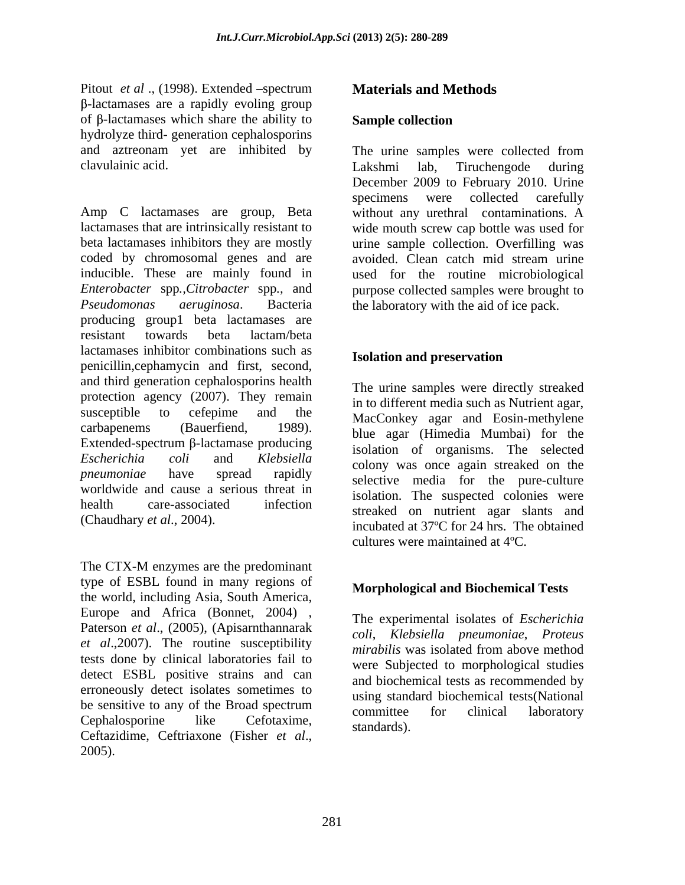Pitout *et al* ., (1998). Extended –spectrum **Materials and Methods**<br>β-lactamases are a rapidly evoling group of  $\beta$ -lactamases which share the ability to **Sample collection** hydrolyze third- generation cephalosporins clavulainic acid.

Amp C lactamases are group, Beta without any urethral contaminations. A lactamases that are intrinsically resistant to wide mouth screw cap bottle was used for beta lactamases inhibitors they are mostly urine sample collection. Overfilling was coded by chromosomal genes and are avoided. Clean catch mid stream urine inducible. These are mainly found in used for the routine microbiological *Enterobacter* spp*.,Citrobacter* spp*.,* and *Pseudomonas aeruginosa*. Bacteria the laboratory with the aid of ice pack. producing group1 beta lactamases are resistant towards beta lactam/beta lactamases inhibitor combinations such as<br> **Isolation and preservation** penicillin,cephamycin and first, second, and third generation cephalosporins health protection agency (2007). They remain susceptible to cefepime and the MacConkey agar and Eosin-methylene carbapenems (Bauerfiend, 1989). blue agar (Himedia Mumbai) for the Extended-spectrum  $\beta$ -lactamase producing *Escherichia coli* and *Klebsiella* **colony** was once again streaked on the *pneumoniae* have spread rapidly selective media for the pure-culture worldwide and cause a serious threat in health care-associated infection streaked on nutrient agar slants and<br>
(Character of 2004)

type of ESBL found in many regions of the world, including Asia, South America, Europe and Africa (Bonnet, 2004) , Paterson *et al*., (2005), (Apisarnthannarak *et al*.,2007). The routine susceptibility tests done by clinical laboratories fail to detect ESBL positive strains and can erroneously detect isolates sometimes to be sensitive to any of the Broad spectrum<br>committee for clinical laboratory Cephalosporine like Cefotaxime, communication contracts aborded Ceftazidime, Ceftriaxone (Fisher *et al*., 2005).

### **Materials and Methods**

### **Sample collection**

and aztreonam yet are inhibited by The urine samples were collected from Lakshmi lab, Tiruchengode during December 2009 to February 2010. Urine specimens were collected carefully avoided. Clean catch mid stream urine purpose collected samples were brought to

### **Isolation and preservation**

(Chaudhary *et al.*, 2004).<br>incubated at 37°C for 24 hrs. The obtained<br>cultures were maintained at 4°C.<br>The CTX-M enzymes are the predominant The urine samples were directly streaked in to different media such as Nutrient agar, isolation of organisms. The selected isolation. The suspected colonies were incubated at 37ºC for 24 hrs. The obtained cultures were maintained at 4ºC.

### **Morphological and Biochemical Tests**

The experimental isolates of *Escherichia coli*, *Klebsiella pneumoniae*, *Proteus mirabilis* was isolated from above method were Subjected to morphological studies and biochemical tests as recommended by using standard biochemical tests(National committee for clinical laboratory standards).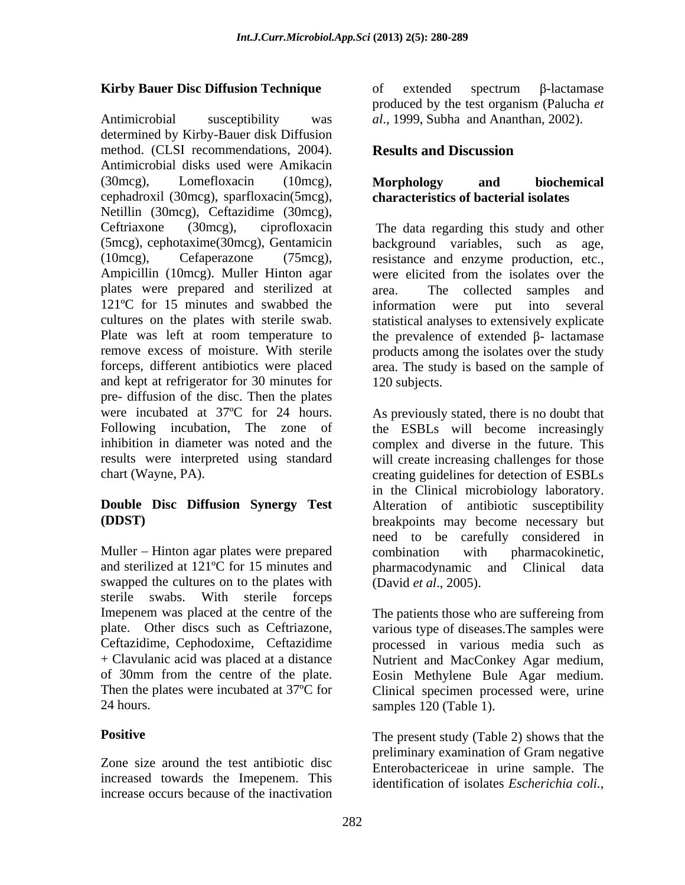Antimicrobial susceptibility was *al*., 1999, Subha and Ananthan, 2002). determined by Kirby-Bauer disk Diffusion method. (CLSI recommendations, 2004). **Results and Discussion** Antimicrobial disks used were Amikacin (30mcg), Lomefloxacin (10mcg), Morphology and biochemical cephadroxil (30mcg), sparfloxacin(5mcg), characteristics of bacterial isolates<br>Netillin (30mcg), Ceftazidime (30mcg),<br>Ceftriaxone (30mcg), ciprofloxacin The data regarding this study and other (5mcg), cephotaxime(30mcg), Gentamicin background variables, such as age, (10mcg), Cefaperazone (75mcg), resistance and enzyme production, etc.,<br>Ampicillin (10mcg). Muller Hinton agar were elicited from the isolates over the plates were prepared and sterilized at 121<sup>o</sup>C for 15 minutes and swabbed the information were put into several cultures on the plates with sterile swab. statistical analyses to extensively explicate Plate was left at room temperature to the prevalence of extended  $\beta$ - lactamase remove excess of moisture. With sterile products among the isolates over the study forceps, different antibiotics were placed area. The study is based on the sample of and kept at refrigerator for 30 minutes for 120 subjects. pre- diffusion of the disc. Then the plates were incubated at 37ºC for 24 hours. Following incubation, The zone of the ESBLs will become increasingly inhibition in diameter was noted and the complex and diverse in the future. This results were interpreted using standard will create increasing challenges for those

Muller – Hinton agar plates were prepared combination with pharmacokinetic, and sterilized at 121<sup>o</sup>C for 15 minutes and pharmacodynamic and Clinical data swapped the cultures on to the plates with sterile swabs. With sterile forceps 24 hours. Samples 120 (Table 1).

Zone size around the test antibiotic disc increased towards the Imepenem. This increase occurs because of the inactivation

**Kirby Bauer Disc Diffusion Technique** of extended spectrum β-lactamase of extended spectrum  $\beta$ -lactamase produced by the test organism (Palucha *et* 

### **Results and Discussion**

### **Morphology and biochemical characteristics of bacterial isolates**

The data regarding this study and other resistance and enzyme production, etc., were elicited from the isolates over the The collected samples and information were put 120 subjects.

chart (Wayne, PA). creating guidelines for detection of ESBLs **Double Disc Diffusion Synergy Test** Alteration of antibiotic susceptibility **(DDST)** breakpoints may become necessary but As previously stated, there is no doubt that in the Clinical microbiology laboratory. need to be carefully considered in combination with pharmacokinetic, pharmacodynamic and Clinical (David *et al*., 2005).

Imepenem was placed at the centre of the The patients those who are suffereing from plate. Other discs such as Ceftriazone, various type of diseases.The samples were Ceftazidime, Cephodoxime, Ceftazidime processed in various media such as + Clavulanic acid was placed at a distance Nutrient and MacConkey Agar medium, of 30mm from the centre of the plate. Eosin Methylene Bule Agar medium. Then the plates were incubated at 37ºC for Clinical specimen processed were, urine

**Positive** The present study (Table 2) shows that the samples 120 (Table 1).<br>The present study (Table 2) shows that the preliminary examination of Gram negative Enterobactericeae in urine sample. The identification of isolates *Escherichia coli.*,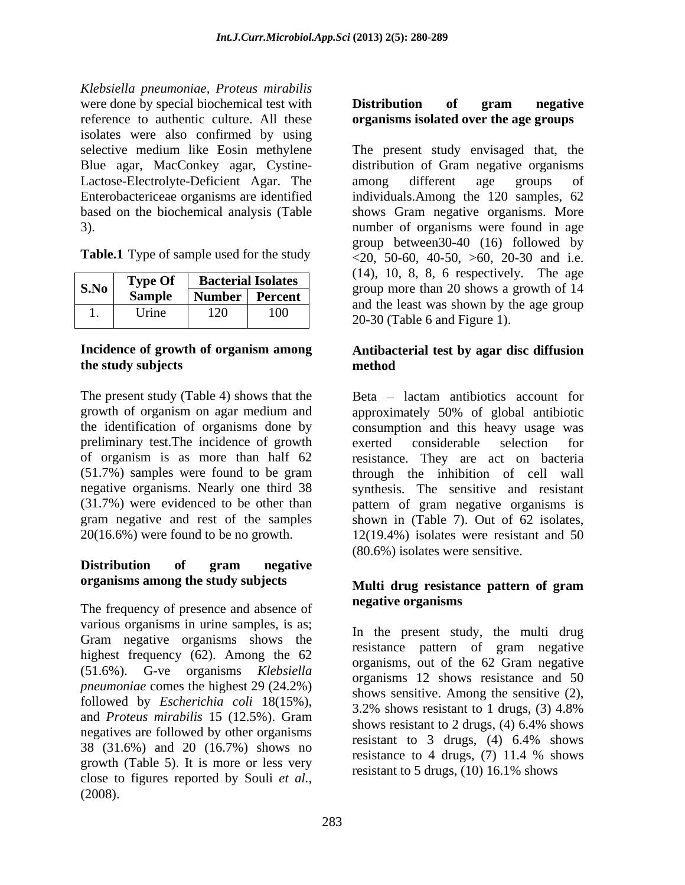*Klebsiella pneumoniae, Proteus mirabilis* were done by special biochemical test with **Distribution** of **gram** negative reference to authentic culture. All these **organisms isolated over the age groups** isolates were also confirmed by using Blue agar, MacConkey agar, Cystine- Lactose-Electrolyte-Deficient Agar. The among different age groups of

| S.No | <b>Type Of</b> | <b>Bacterial Isolates</b> |         |  |  |  |  |  |  |
|------|----------------|---------------------------|---------|--|--|--|--|--|--|
|      | <b>Sample</b>  | <b>Number</b>             | Percent |  |  |  |  |  |  |
|      | <b>Urine</b>   | 120                       | 100     |  |  |  |  |  |  |

The present study (Table 4) shows that the growth of organism on agar medium and approximately 50% of global antibiotic preliminary test.The incidence of growth

## **Distribution of gram negative organisms among the study subjects**

The frequency of presence and absence of **negative organisms** various organisms in urine samples, is as; Gram negative organisms shows the the present study, the multi drug<br>resistance pattern of gram negative highest frequency (62). Among the 62 (51.6%). G-ve organisms *Klebsiella pneumoniae* comes the highest 29 (24.2%) followed by *Escherichia coli* 18(15%),<br>3.2% shows resistant to 1 drugs, (3) 4.8% and *Proteus mirabilis* 15 (12.5%). Gram shows resistant to 2 drugs, (4) 6.4% shows negatives are followed by other organisms<br>resistant to 3 drugs, (4) 6.4% shows<br> $\frac{20}{20}$  (21.5%)  $\frac{1}{20}$  (16.7%)  $\frac{1}{20}$  (16.7%) 38 (31.6%) and 20 (16.7%) shows no<br>resistance to 4 drugs, (7) 11.4 % shows growth (Table 5). It is more or less very close to figures reported by Souli *et al.,* (2008).

# **Distribution of gram negative**

selective medium like Eosin methylene The present study envisaged that, the Enterobactericeae organisms are identified individuals.Among the 120 samples, 62 based on the biochemical analysis (Table shows Gram negative organisms. More 3). number of organisms were found in age **Table.1** Type of sample used for the study  $\leq 20, 50-60, 40-50, >60, 20-30$  and i.e. distribution of Gram negative organisms among different age groups of group between30-40 (16) followed by (14), 10, 8, 8, 6 respectively. The age  $\begin{array}{|c|c|c|c|c|}\n\hline\n\textbf{S.No} & \textbf{Bacterial Isolates} & \textbf{150} & \textbf{147}, & \textbf{10}, & \textbf{0}, & \textbf{0}, & \textbf{0}, & \textbf{168} \\
\hline\n\textbf{S.Mo} & \textbf{S.mnls} & \textbf{Numbar} & \textbf{Rumbar} & \textbf{Rumbar} & \textbf{S} & \textbf{S} & \textbf{S} & \textbf{S} & \textbf{S} & \textbf{S} & \textbf{S} & \textbf{S} & \textbf{S} & \textbf{S} \\
\h$ **Sample Number Percent**<br>and the least was shown by the age group 20-30 (Table 6 and Figure 1). 1. Urine  $120$  100  $\frac{100}{20}$  100  $\frac{100}{20}$  100  $\frac{100}{20}$  100  $\frac{1}{20}$  100  $\frac{1}{20}$  100  $\frac{1}{20}$  100  $\frac{1}{20}$  100  $\frac{1}{20}$  100  $\frac{1}{20}$  100  $\frac{1}{20}$  100  $\frac{1}{20}$  100  $\frac{1}{20}$  100  $\frac{1}{20}$  100

### **Incidence of growth of organism among the study subjects Antibacterial test by agar disc diffusion method**

the identification of organisms done by consumption and this heavy usage was of organism is as more than half 62 resistance. They are act on bacteria (51.7%) samples were found to be gram through the inhibition of cell wall negative organisms. Nearly one third 38 synthesis. The sensitive and resistant (31.7%) were evidenced to be other than pattern of gram negative organisms is gram negative and rest of the samples shown in (Table 7). Out of 62 isolates, 20(16.6%) were found to be no growth. 12(19.4%) isolates were resistant and 50 Beta – lactam antibiotics account for approximately 50% of global antibiotic exerted considerable selection for (80.6%) isolates were sensitive.

### **Multi drug resistance pattern of gram negative organisms**

In the present study, the multi drug resistance pattern of gram negative organisms, out of the 62 Gram negative organisms 12 shows resistance and 50 shows sensitive. Among the sensitive (2), 3.2% shows resistant to 1 drugs,(3) 4.8% shows resistant to 2 drugs, (4) 6.4% shows resistant to 3 drugs, (4) 6.4% shows resistance to 4 drugs, (7) 11.4 % shows resistant to 5 drugs, (10) 16.1% shows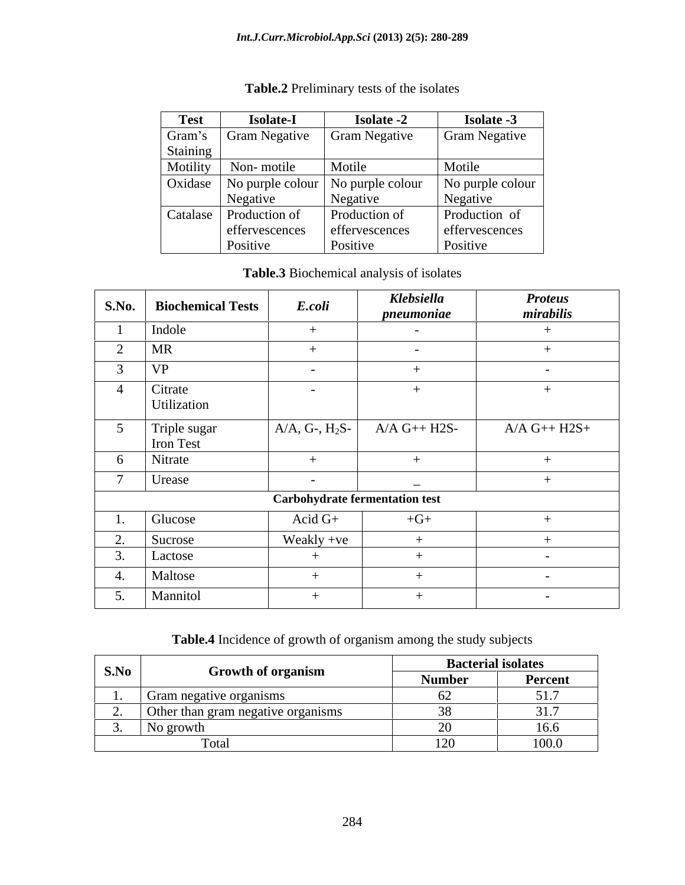| <b>Test</b> | <b>Isolate-I</b>         | <b>Isolate -2</b>                             | <b>Isolate -3</b>    |
|-------------|--------------------------|-----------------------------------------------|----------------------|
| Gram's      |                          | Gram Negative   Gram Negative                 | <b>Gram Negative</b> |
| Staining    |                          |                                               |                      |
| Motility    | Non-motile               | Motile                                        | Motile               |
|             |                          | Oxidase   No purple colour   No purple colour | No purple colour     |
|             | Negative                 | Negative                                      | Negative             |
|             | Catalase   Production of | Production of                                 | Production of        |
|             | effervescences           | effervescences                                | effervescences       |
|             | Positive                 | Positive                                      | Positive             |

### **Table.2** Preliminary tests of the isolates

### **Table.3** Biochemical analysis of isolates

| <b>S.No.</b>                      | <b>Biochemical Tests</b>             | E.coli                                | Klebsiella<br>pneumoniae | <b>Proteus</b><br>mirabilis |
|-----------------------------------|--------------------------------------|---------------------------------------|--------------------------|-----------------------------|
|                                   | Indole                               |                                       | $\overline{\phantom{0}}$ |                             |
|                                   | <b>MR</b>                            |                                       | $\overline{\phantom{0}}$ |                             |
|                                   | <b>VP</b>                            | $\sim$                                |                          |                             |
|                                   | <b>Citrate</b><br><b>Utilization</b> | $\sim$                                |                          |                             |
|                                   | Triple sugar<br>Iron Test            | $A/A, G-, H_2S-$                      | $A/A$ G++ H2S-           | $A/A G++H2S+$               |
| $\sigma$                          | Nitrate                              |                                       |                          |                             |
|                                   | Urease                               |                                       | $\overline{\phantom{a}}$ |                             |
|                                   |                                      | <b>Carbohydrate fermentation test</b> |                          |                             |
| <b>1.</b>                         | Glucose                              | Acid $G+$                             | $+G+$                    |                             |
| $\sim$<br>$\mathcal{L}_{\bullet}$ | Sucrose                              | Weakly +ve                            |                          |                             |
|                                   | Lactose                              |                                       |                          |                             |
|                                   | Maltose                              |                                       |                          |                             |
| 5.                                | Mannitol                             |                                       |                          | $\sim$                      |

### **Table.4** Incidence of growth of organism among the study subjects

| S.No |                                    |                  | <b>Bacterial isolates</b>                   |
|------|------------------------------------|------------------|---------------------------------------------|
|      | <b>Growth of organism</b>          | Number           | Percent                                     |
|      | Gram negative organisms            |                  | $\mathcal{L}$ 1 $\mathcal{L}$<br>, <b>.</b> |
|      | Other than gram negative organisms |                  | 217<br>1.7                                  |
|      | No growth                          |                  | 16.6                                        |
|      |                                    | $\sim$<br>$\sim$ | 100.0                                       |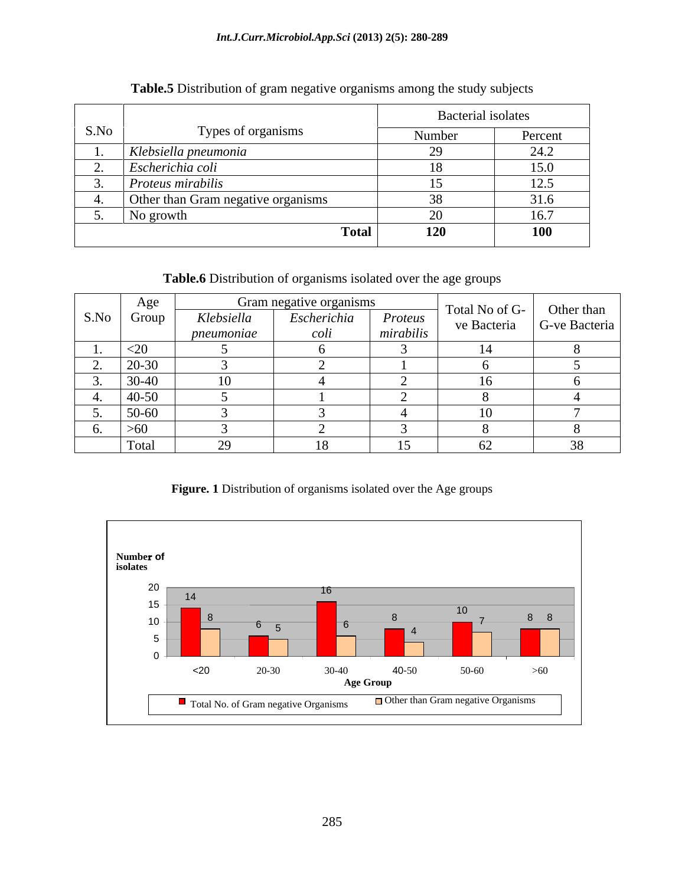### *Int.J.Curr.Microbiol.App.Sci* **(2013) 2(5): 280-289**

| S.No<br>Types of organisms         | Number | Percent    |
|------------------------------------|--------|------------|
|                                    |        |            |
| Klebsiella pneumonia               |        | 24.2       |
| Escherichia coli                   |        | 15.0       |
| Proteus mirabilis                  |        | 12.5       |
| Other than Gram negative organisms |        | 31.6       |
| No growth                          |        | 16.7       |
| <b>Total</b>                       | 120    | <b>100</b> |

### **Table.5** Distribution of gram negative organisms among the study subjects

**Table.6** Distribution of organisms isolated over the age groups

|                            | Age       |                          | Gram negative organisms |                      | Total No of G- | Other than     |
|----------------------------|-----------|--------------------------|-------------------------|----------------------|----------------|----------------|
| S.No                       | Group     | Klebsiella<br>pneumoniae | Escherichia<br>coli     | Proteus<br>mirabilis | ve Bacteria    | G-ve Bacteria  |
| $\cdots$                   | $<$ 20    |                          |                         |                      |                |                |
|                            | 20-30     |                          |                         |                      |                |                |
| $\overline{\phantom{a}}$ . | $30 - 40$ |                          |                         |                      | l6.            |                |
|                            | $40 - 50$ |                          |                         |                      |                |                |
| $\overline{\phantom{a}}$ . | $50 - 60$ |                          |                         |                      | 10             |                |
| O.                         | $>60$     |                          |                         |                      |                |                |
|                            | Total     | ാവ<br>ر ب                |                         |                      | $U \sim$       | $\Omega$<br>38 |

### **Figure. 1** Distribution of organisms isolated over the Age groups

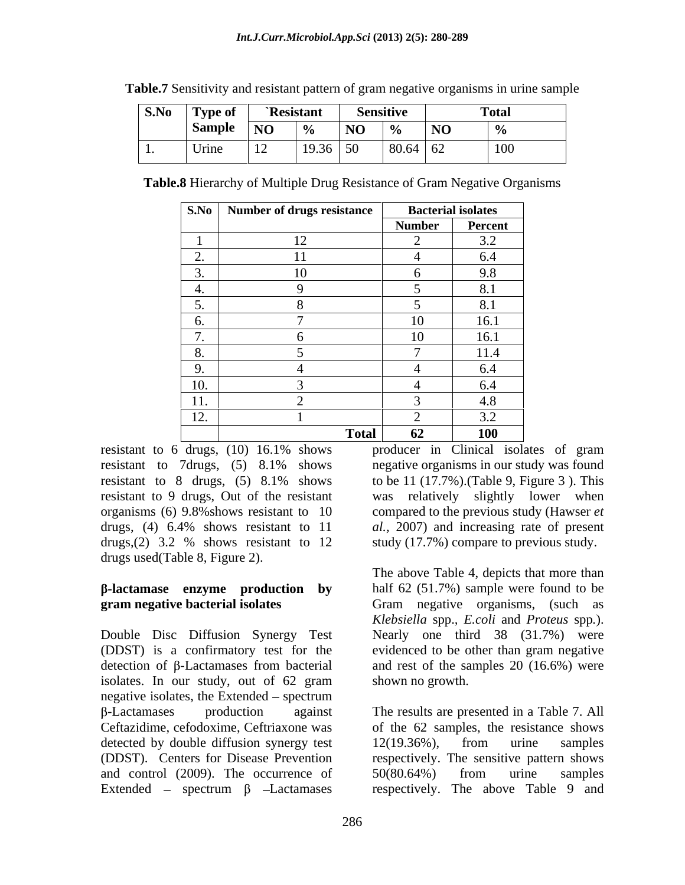| $ $ S.No $ $ Type of $ $ |    | `Resistant |            | <b>Sensitive</b> |                 | 70. Z<br>1 otal  |
|--------------------------|----|------------|------------|------------------|-----------------|------------------|
| Sample   NO              |    | $\sim$ 0/  |            |                  | $\overline{NQ}$ |                  |
| Urine                    | 12 | $1936$ 50  | $\cdots$ . | $80.64 \mid 62$  |                 | $\overline{100}$ |

**Table.7** Sensitivity and resistant pattern of gram negative organisms in urine sample

**Table.8** Hierarchy of Multiple Drug Resistance of Gram Negative Organisms

|                                   | <b>S.No</b> Number of drugs resistance | <b>Bacterial isolates</b> |            |
|-----------------------------------|----------------------------------------|---------------------------|------------|
|                                   |                                        | <b>Number</b>             | Percent    |
|                                   |                                        |                           | 3.2        |
| $\overline{\phantom{a}}$ .        |                                        |                           | 6.4        |
| $\overline{\phantom{a}}$<br>. J . |                                        | n                         | 9.8        |
| 4.                                |                                        |                           | 8.1        |
| J.                                |                                        |                           | 8.1        |
| $\sigma$ .                        |                                        | 10                        | 16.1       |
| $\overline{ }$                    |                                        | 10                        | 16.1       |
| $\delta$ .                        |                                        |                           | 11.4       |
| 9.                                |                                        |                           | 6.4        |
| 10.                               |                                        |                           | 6.4        |
| 11.                               |                                        |                           | 4.8        |
| $1^{\circ}$<br>12.                |                                        |                           | 3.2        |
|                                   | <b>Total</b>                           | 62                        | <b>100</b> |

resistant to 9 drugs, Out of the resistant drugs used(Table 8, Figure 2).

Double Disc Diffusion Synergy Test Nearly one third 38 (31.7%) were (DDST) is a confirmatory test for the evidenced to be other than gram negative detection of  $\beta$ -Lactamases from bacterial and rest of the samples 20 (16.6%) were isolates. In our study, out of 62 gram megative isolates, the Extended – spectrum<br>  $\beta$ -Lactamases production against The results are presented in a Table 7. All Ceftazidime, cefodoxime, Ceftriaxone was of the 62 samples, the resistance shows detected by double diffusion synergy test 12(19.36%), from urine samples (DDST). Centers for Disease Prevention and control (2009). The occurrence of 50(80.64%) from urine samples Extended – spectrum  $\beta$  –Lactamases respectively. The above Table 9 and

resistant to 6 drugs, (10) 16.1% shows producer in Clinical isolates of gram resistant to 7drugs, (5) 8.1% shows negative organisms in our study was found resistant to 8 drugs, (5) 8.1% shows to be 11 (17.7%). (Table 9, Figure 3). This organisms (6) 9.8%shows resistant to 10 compared to the previous study (Hawser *et*  drugs, (4) 6.4% shows resistant to 11 *al.,* 2007) and increasing rate of present drugs, (2) 3.2 % shows resistant to 12 study (17.7%) compare to previous study. producer in Clinical isolates of gram to be 11 (17.7%).(Table 9, Figure 3 ). This was relatively slightly lower when study (17.7%) compare to previous study.

**-lactamase enzyme production by** half 62 (51.7%) sample were found to be **gram negative bacterial isolates Gram negative organisms, (such as** The above Table 4, depicts that more than *Klebsiella* spp.*, E.coli* and *Proteus* spp*.*). shown no growth.

> The results are presented in a Table 7. All 12(19.36%), from urine samples respectively. The sensitive pattern shows 50(80.64%) from urine samples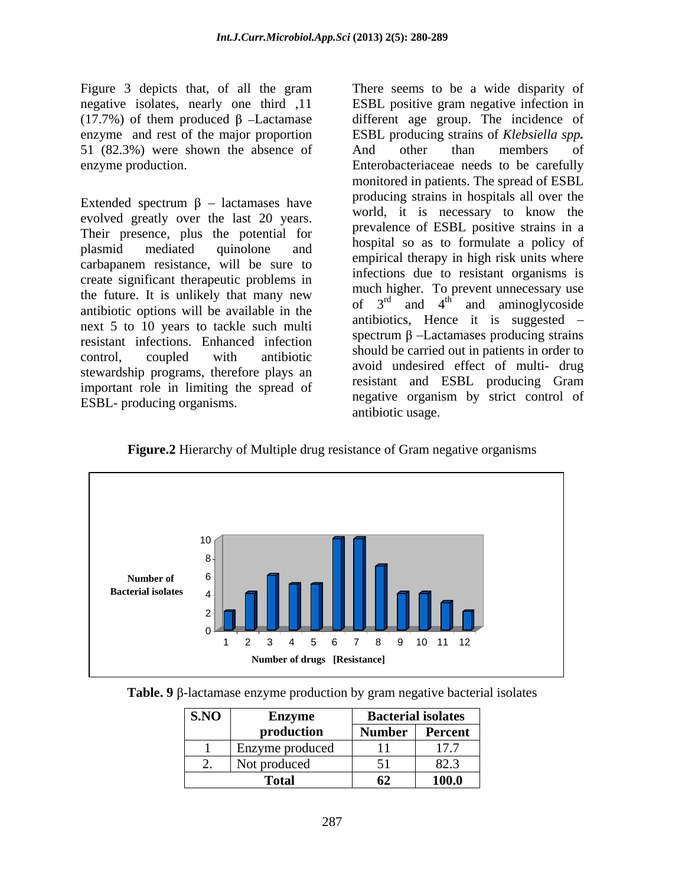51 (82.3%) were shown the absence of And other than members of

Extended spectrum  $\beta$  – lactamases have evolved greatly over the last 20 years. Their presence, plus the potential for plasmid mediated quinolone and hospital so as to formulate a policy of carbapanem resistance, will be sure to create significant therapeutic problems in the future. It is unlikely that many new antibiotic options will be available in the next 5 to 10 years to tackle such multi resistant infections. Enhanced infection control, coupled with antibiotic  $\frac{\text{volume of}}{\text{m}}$  and  $\frac{\text{c}^2}{\text{m}}$  and  $\frac{\text{c}^2}{\text{m}}$  and  $\frac{\text{c}^2}{\text{m}}$  and  $\frac{\text{c}^2}{\text{m}}$  and  $\frac{\text{c}^2}{\text{m}}$  and  $\frac{\text{c}^2}{\text{m}}$  and  $\frac{\text{c}^2}{\text{m}}$  and  $\frac{\text{c}^2}{\text{$ stewardship programs, therefore plays an important role in limiting the spread of ESBL- producing organisms.

Figure 3 depicts that, of all the gram There seems to be a wide disparity of negative isolates, nearly one third ,11 ESBL positive gram negative infection in (17.7%) of them produced  $\beta$  -Lactamase different age group. The incidence of enzyme and rest of the major proportion ESBL producing strains of *Klebsiella spp.* enzyme production. Enterobacteriaceae needs to be carefully And other than members of monitored in patients. The spread of ESBL producing strains in hospitals all over the world, it is necessary to know the prevalence of ESBL positive strains in a hospital so as to formulate a policy of empirical therapy in high risk units where infections due to resistant organisms is much higher. To prevent unnecessary use of  $3<sup>rd</sup>$  and  $4<sup>th</sup>$  and aminoglycoside antibiotics, Hence it is suggested spectrum  $\beta$  -Lactamases producing strains should be carried out in patients in order to avoid undesired effect of multi- drug resistant and ESBL producing Gram negative organism by strict control of antibiotic usage.

**Figure.2** Hierarchy of Multiple drug resistance of Gram negative organisms



**Table. 9**  $\beta$ -lactamase enzyme production by gram negative bacterial isolates

| SNO                        | $\sim$<br>Enzyme | <b>Bacterial isolates</b>  |                                          |
|----------------------------|------------------|----------------------------|------------------------------------------|
|                            | production       | <b>Number</b>              | Percent                                  |
|                            | Enzyme produced  | $\overline{a}$<br>$\cdots$ | $\sim$ $\sim$<br><b>1</b> <i>i i i i</i> |
| $\overline{\phantom{a}}$ . | Not produced     | $\epsilon$ 1<br>$\sim$ 1   | $\Omega$ $\Omega$ $\sim$<br>$0 - 0$      |
|                            | Total            | 62                         | 100.0                                    |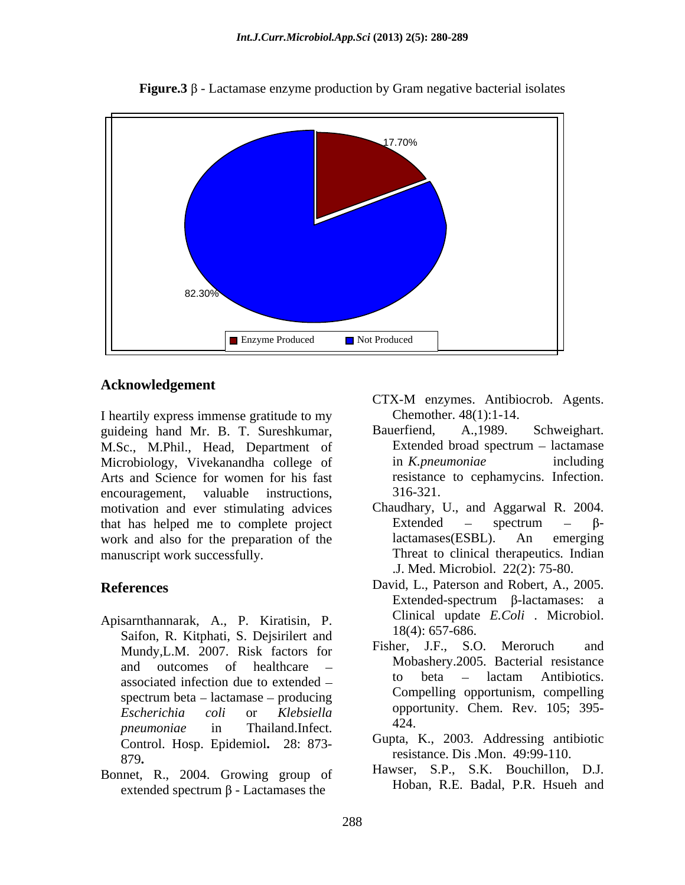

**Figure.3**  $\beta$  - Lactamase enzyme production by Gram negative bacterial isolates

### **Acknowledgement**

I heartily express immense gratitude to my<br>
guideing hand Mr. B. T. Sureshkumar. Bauerfiend, A.,1989. guideing hand Mr. B. T. Sureshkumar, M.Sc., M.Phil., Head, Department of Microbiology, Vivekanandha college of in *K.pneumoniae* including Arts and Science for women for his fast encouragement, valuable instructions, 316-321. motivation and ever stimulating advices Chaudhary, U., and Aggarwal R. 2004. that has helped me to complete project<br>work and also for the preparation of the  $\qquad$  lactamases (ESBL). An emerging work and also for the preparation of the lactamases (ESBL). An emerging manuscript work successfully. Threat to clinical therapeutics*.* Indian

- Apisarnthannarak, A., P. Kiratisin, P. Saifon, R. Kitphati, S. Dejsirilert and<br>Munder M. 2007, Birls feature for Fisher, J.F., S.O. Meroruch and Mundy,L.M. 2007. Risk factors for *pneumoniae* in Thailand.Infect. Control. Hosp. Epidemiol**.** 28: 873 resistance. Dis .Mon. 49:99-110.<br>879.
- Bonnet, R., 2004. Growing group of extended spectrum  $\beta$  - Lactamases the
- CTX-M enzymes. Antibiocrob. Agents. Chemother. 48(1):1-14.
- Bauerfiend, A.,1989. Schweighart. Extended broad spectrum – lactamase in *K.pneumoniae* including resistance to cephamycins. Infection. 316-321.
- Extended  $-$  spectrum  $\beta$ lactamases(ESBL). An emerging .J. Med. Microbiol. 22(2): 75-80.
- **References** David, L., Paterson and Robert, A., 2005. Extended-spectrum  $\beta$ -lactamases: a Clinical update *E.Coli* . Microbiol. 18(4): 657-686.
	- and outcomes of healthcare MIODasnery. 2005. Bacterial resistance associated infection due to extended  $-$  to beta  $-$  lactam Antibiotics. spectrum beta  $-$  lactamase  $-$  producing  $\blacksquare$  compening opportunism, compening *Escherichia coli* or *Klebsiella* Fisher, J.F., S.O. Meroruch Mobashery.2005. Bacterial resistance to beta – lactam Antibiotics. Compelling opportunism, compelling opportunity. Chem. Rev. 105; 395- 424.
		- Gupta, K., 2003. Addressing antibiotic
		- Hawser, S.P., S.K. Bouchillon, D.J. Hoban, R.E. Badal, P.R. Hsueh and